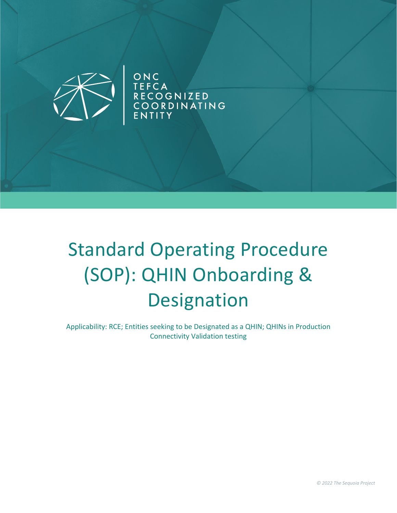

ONC<br>TEFCA<br>RECOGNIZED<br>COORDINATING<br>ENTITY

# Standard Operating Procedure (SOP): QHIN Onboarding & Designation

Applicability: RCE; Entities seeking to be Designated as a QHIN; QHINs in Production Connectivity Validation testing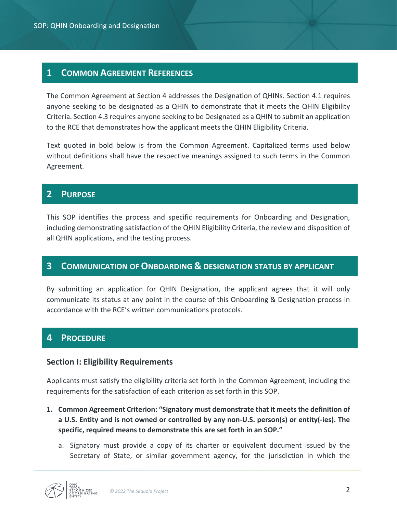# **1 COMMON AGREEMENT REFERENCES**

The Common Agreement at Section 4 addresses the Designation of QHINs. Section 4.1 requires anyone seeking to be designated as a QHIN to demonstrate that it meets the QHIN Eligibility Criteria. Section 4.3 requires anyone seeking to be Designated as a QHIN to submit an application to the RCE that demonstrates how the applicant meets the QHIN Eligibility Criteria.

Text quoted in bold below is from the Common Agreement. Capitalized terms used below without definitions shall have the respective meanings assigned to such terms in the Common Agreement.

# **2 PURPOSE**

This SOP identifies the process and specific requirements for Onboarding and Designation, including demonstrating satisfaction of the QHIN Eligibility Criteria, the review and disposition of all QHIN applications, and the testing process.

# **3 COMMUNICATION OF ONBOARDING & DESIGNATION STATUS BY APPLICANT**

By submitting an application for QHIN Designation, the applicant agrees that it will only communicate its status at any point in the course of this Onboarding & Designation process in accordance with the RCE's written communications protocols.

# **4 PROCEDURE**

## **Section I: Eligibility Requirements**

Applicants must satisfy the eligibility criteria set forth in the Common Agreement, including the requirements for the satisfaction of each criterion as set forth in this SOP.

- **1. Common Agreement Criterion: "Signatory must demonstrate that it meets the definition of a U.S. Entity and is not owned or controlled by any non-U.S. person(s) or entity(-ies). The specific, required means to demonstrate this are set forth in an SOP."** 
	- a. Signatory must provide a copy of its charter or equivalent document issued by the Secretary of State, or similar government agency, for the jurisdiction in which the

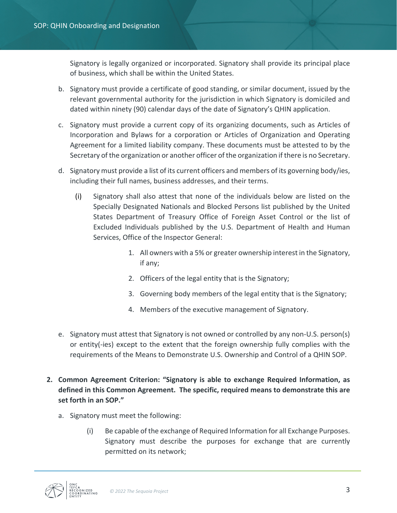Signatory is legally organized or incorporated. Signatory shall provide its principal place of business, which shall be within the United States.

- b. Signatory must provide a certificate of good standing, or similar document, issued by the relevant governmental authority for the jurisdiction in which Signatory is domiciled and dated within ninety (90) calendar days of the date of Signatory's QHIN application.
- c. Signatory must provide a current copy of its organizing documents, such as Articles of Incorporation and Bylaws for a corporation or Articles of Organization and Operating Agreement for a limited liability company. These documents must be attested to by the Secretary of the organization or another officer of the organization if there is no Secretary.
- d. Signatory must provide a list of its current officers and members of its governing body/ies, including their full names, business addresses, and their terms.
	- (i) Signatory shall also attest that none of the individuals below are listed on the Specially Designated Nationals and Blocked Persons list published by the United States Department of Treasury Office of Foreign Asset Control or the list of Excluded Individuals published by the U.S. Department of Health and Human Services, Office of the Inspector General:
		- 1. All owners with a 5% or greater ownership interest in the Signatory, if any;
		- 2. Officers of the legal entity that is the Signatory;
		- 3. Governing body members of the legal entity that is the Signatory;
		- 4. Members of the executive management of Signatory.
- e. Signatory must attest that Signatory is not owned or controlled by any non-U.S. person(s) or entity(-ies) except to the extent that the foreign ownership fully complies with the requirements of the Means to Demonstrate U.S. Ownership and Control of a QHIN SOP.
- **2. Common Agreement Criterion: "Signatory is able to exchange Required Information, as defined in this Common Agreement. The specific, required means to demonstrate this are set forth in an SOP."** 
	- a. Signatory must meet the following:
		- (i) Be capable of the exchange of Required Information for all Exchange Purposes. Signatory must describe the purposes for exchange that are currently permitted on its network;

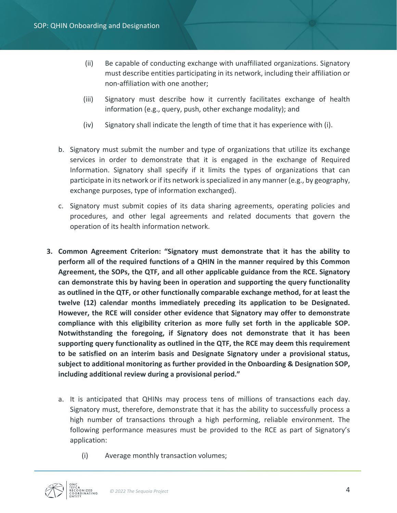- (ii) Be capable of conducting exchange with unaffiliated organizations. Signatory must describe entities participating in its network, including their affiliation or non-affiliation with one another;
- (iii) Signatory must describe how it currently facilitates exchange of health information (e.g., query, push, other exchange modality); and
- (iv) Signatory shall indicate the length of time that it has experience with (i).
- b. Signatory must submit the number and type of organizations that utilize its exchange services in order to demonstrate that it is engaged in the exchange of Required Information. Signatory shall specify if it limits the types of organizations that can participate in its network or if its network is specialized in any manner (e.g., by geography, exchange purposes, type of information exchanged).
- c. Signatory must submit copies of its data sharing agreements, operating policies and procedures, and other legal agreements and related documents that govern the operation of its health information network.
- **3. Common Agreement Criterion: "Signatory must demonstrate that it has the ability to perform all of the required functions of a QHIN in the manner required by this Common Agreement, the SOPs, the QTF, and all other applicable guidance from the RCE. Signatory can demonstrate this by having been in operation and supporting the query functionality as outlined in the QTF, or other functionally comparable exchange method, for at least the twelve (12) calendar months immediately preceding its application to be Designated. However, the RCE will consider other evidence that Signatory may offer to demonstrate compliance with this eligibility criterion as more fully set forth in the applicable SOP. Notwithstanding the foregoing, if Signatory does not demonstrate that it has been supporting query functionality as outlined in the QTF, the RCE may deem this requirement to be satisfied on an interim basis and Designate Signatory under a provisional status, subject to additional monitoring as further provided in the Onboarding & Designation SOP, including additional review during a provisional period."**
	- a. It is anticipated that QHINs may process tens of millions of transactions each day. Signatory must, therefore, demonstrate that it has the ability to successfully process a high number of transactions through a high performing, reliable environment. The following performance measures must be provided to the RCE as part of Signatory's application:
		- (i) Average monthly transaction volumes;

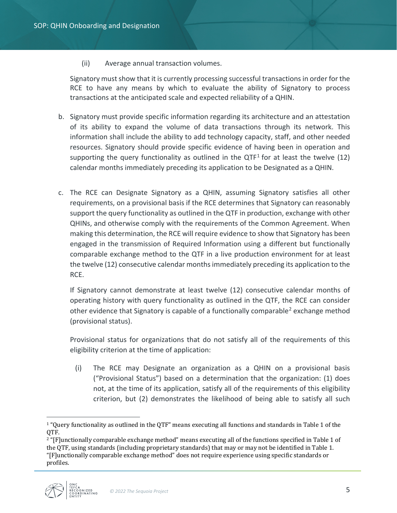(ii) Average annual transaction volumes.

Signatory must show that it is currently processing successful transactions in order for the RCE to have any means by which to evaluate the ability of Signatory to process transactions at the anticipated scale and expected reliability of a QHIN.

- b. Signatory must provide specific information regarding its architecture and an attestation of its ability to expand the volume of data transactions through its network. This information shall include the ability to add technology capacity, staff, and other needed resources. Signatory should provide specific evidence of having been in operation and supporting the query functionality as outlined in the  $QTF<sup>1</sup>$  $QTF<sup>1</sup>$  $QTF<sup>1</sup>$  for at least the twelve (12) calendar months immediately preceding its application to be Designated as a QHIN.
- c. The RCE can Designate Signatory as a QHIN, assuming Signatory satisfies all other requirements, on a provisional basis if the RCE determines that Signatory can reasonably support the query functionality as outlined in the QTF in production, exchange with other QHINs, and otherwise comply with the requirements of the Common Agreement. When making this determination, the RCE will require evidence to show that Signatory has been engaged in the transmission of Required Information using a different but functionally comparable exchange method to the QTF in a live production environment for at least the twelve (12) consecutive calendar months immediately preceding its application to the RCE.

If Signatory cannot demonstrate at least twelve (12) consecutive calendar months of operating history with query functionality as outlined in the QTF, the RCE can consider other evidence that Signatory is capable of a functionally comparable<sup>[2](#page-4-1)</sup> exchange method (provisional status).

Provisional status for organizations that do not satisfy all of the requirements of this eligibility criterion at the time of application:

(i) The RCE may Designate an organization as a QHIN on a provisional basis ("Provisional Status") based on a determination that the organization: (1) does not, at the time of its application, satisfy all of the requirements of this eligibility criterion, but (2) demonstrates the likelihood of being able to satisfy all such

<span id="page-4-1"></span><span id="page-4-0"></span><sup>&</sup>lt;sup>2</sup> "[F]unctionally comparable exchange method" means executing all of the functions specified in Table 1 of the QTF, using standards (including proprietary standards) that may or may not be identified in Table 1. "[F]unctionally comparable exchange method" does not require experience using specific standards or profiles.



 $\overline{a}$ 

<sup>&</sup>lt;sup>1</sup> "Query functionality as outlined in the QTF" means executing all functions and standards in Table 1 of the OTF.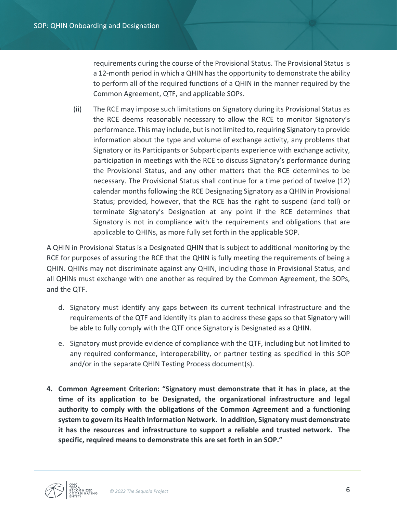requirements during the course of the Provisional Status. The Provisional Status is a 12-month period in which a QHIN has the opportunity to demonstrate the ability to perform all of the required functions of a QHIN in the manner required by the Common Agreement, QTF, and applicable SOPs.

(ii) The RCE may impose such limitations on Signatory during its Provisional Status as the RCE deems reasonably necessary to allow the RCE to monitor Signatory's performance. This may include, but is not limited to, requiring Signatory to provide information about the type and volume of exchange activity, any problems that Signatory or its Participants or Subparticipants experience with exchange activity, participation in meetings with the RCE to discuss Signatory's performance during the Provisional Status, and any other matters that the RCE determines to be necessary. The Provisional Status shall continue for a time period of twelve (12) calendar months following the RCE Designating Signatory as a QHIN in Provisional Status; provided, however, that the RCE has the right to suspend (and toll) or terminate Signatory's Designation at any point if the RCE determines that Signatory is not in compliance with the requirements and obligations that are applicable to QHINs, as more fully set forth in the applicable SOP.

A QHIN in Provisional Status is a Designated QHIN that is subject to additional monitoring by the RCE for purposes of assuring the RCE that the QHIN is fully meeting the requirements of being a QHIN. QHINs may not discriminate against any QHIN, including those in Provisional Status, and all QHINs must exchange with one another as required by the Common Agreement, the SOPs, and the QTF.

- d. Signatory must identify any gaps between its current technical infrastructure and the requirements of the QTF and identify its plan to address these gaps so that Signatory will be able to fully comply with the QTF once Signatory is Designated as a QHIN.
- e. Signatory must provide evidence of compliance with the QTF, including but not limited to any required conformance, interoperability, or partner testing as specified in this SOP and/or in the separate QHIN Testing Process document(s).
- **4. Common Agreement Criterion: "Signatory must demonstrate that it has in place, at the time of its application to be Designated, the organizational infrastructure and legal authority to comply with the obligations of the Common Agreement and a functioning system to govern its Health Information Network. In addition, Signatory must demonstrate it has the resources and infrastructure to support a reliable and trusted network. The specific, required means to demonstrate this are set forth in an SOP."**

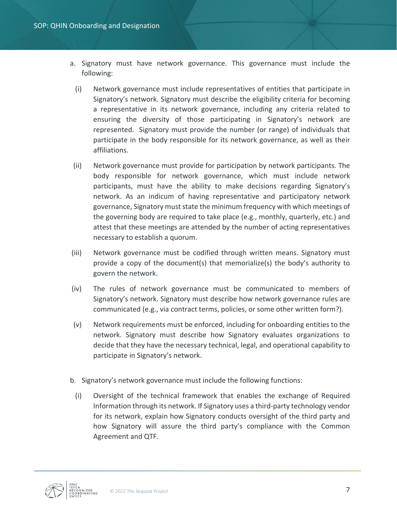- a. Signatory must have network governance. This governance must include the following:
- (i) Network governance must include representatives of entities that participate in Signatory's network. Signatory must describe the eligibility criteria for becoming a representative in its network governance, including any criteria related to ensuring the diversity of those participating in Signatory's network are represented. Signatory must provide the number (or range) of individuals that participate in the body responsible for its network governance, as well as their affiliations.
- (ii) Network governance must provide for participation by network participants. The body responsible for network governance, which must include network participants, must have the ability to make decisions regarding Signatory's network. As an indicum of having representative and participatory network governance, Signatory must state the minimum frequency with which meetings of the governing body are required to take place (e.g., monthly, quarterly, etc.) and attest that these meetings are attended by the number of acting representatives necessary to establish a quorum.
- (iii) Network governance must be codified through written means. Signatory must provide a copy of the document(s) that memorialize(s) the body's authority to govern the network.
- (iv) The rules of network governance must be communicated to members of Signatory's network. Signatory must describe how network governance rules are communicated (e.g., via contract terms, policies, or some other written form?).
- (v) Network requirements must be enforced, including for onboarding entities to the network. Signatory must describe how Signatory evaluates organizations to decide that they have the necessary technical, legal, and operational capability to participate in Signatory's network.
- b. Signatory's network governance must include the following functions:
- (i) Oversight of the technical framework that enables the exchange of Required Information through its network. If Signatory uses a third-party technology vendor for its network, explain how Signatory conducts oversight of the third party and how Signatory will assure the third party's compliance with the Common Agreement and QTF.

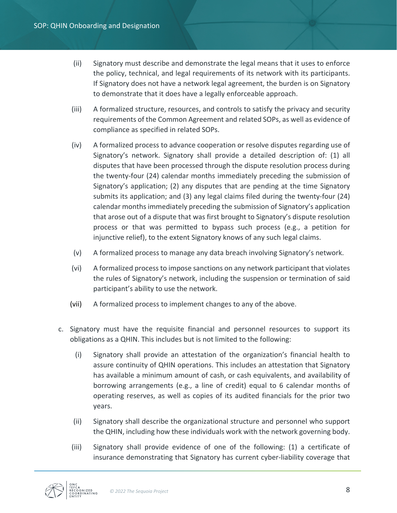- (ii) Signatory must describe and demonstrate the legal means that it uses to enforce the policy, technical, and legal requirements of its network with its participants. If Signatory does not have a network legal agreement, the burden is on Signatory to demonstrate that it does have a legally enforceable approach.
- (iii) A formalized structure, resources, and controls to satisfy the privacy and security requirements of the Common Agreement and related SOPs, as well as evidence of compliance as specified in related SOPs.
- (iv) A formalized process to advance cooperation or resolve disputes regarding use of Signatory's network. Signatory shall provide a detailed description of: (1) all disputes that have been processed through the dispute resolution process during the twenty-four (24) calendar months immediately preceding the submission of Signatory's application; (2) any disputes that are pending at the time Signatory submits its application; and (3) any legal claims filed during the twenty-four (24) calendar months immediately preceding the submission of Signatory's application that arose out of a dispute that was first brought to Signatory's dispute resolution process or that was permitted to bypass such process (e.g., a petition for injunctive relief), to the extent Signatory knows of any such legal claims.
- (v) A formalized process to manage any data breach involving Signatory's network.
- (vi) A formalized process to impose sanctions on any network participant that violates the rules of Signatory's network, including the suspension or termination of said participant's ability to use the network.
- (vii) A formalized process to implement changes to any of the above.
- c. Signatory must have the requisite financial and personnel resources to support its obligations as a QHIN. This includes but is not limited to the following:
	- (i) Signatory shall provide an attestation of the organization's financial health to assure continuity of QHIN operations. This includes an attestation that Signatory has available a minimum amount of cash, or cash equivalents, and availability of borrowing arrangements (e.g., a line of credit) equal to 6 calendar months of operating reserves, as well as copies of its audited financials for the prior two years.
	- (ii) Signatory shall describe the organizational structure and personnel who support the QHIN, including how these individuals work with the network governing body.
	- (iii) Signatory shall provide evidence of one of the following: (1) a certificate of insurance demonstrating that Signatory has current cyber-liability coverage that

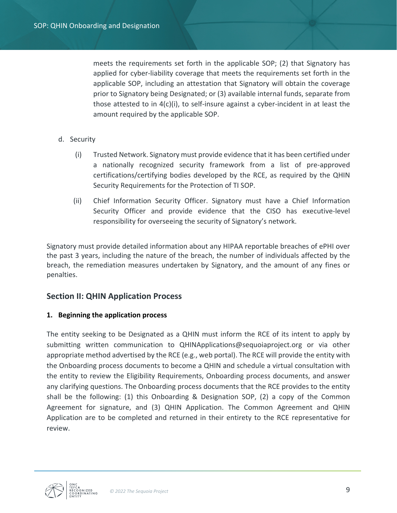meets the requirements set forth in the applicable SOP; (2) that Signatory has applied for cyber-liability coverage that meets the requirements set forth in the applicable SOP, including an attestation that Signatory will obtain the coverage prior to Signatory being Designated; or (3) available internal funds, separate from those attested to in  $4(c)(i)$ , to self-insure against a cyber-incident in at least the amount required by the applicable SOP.

- d. Security
	- (i) Trusted Network. Signatory must provide evidence that it has been certified under a nationally recognized security framework from a list of pre-approved certifications/certifying bodies developed by the RCE, as required by the QHIN Security Requirements for the Protection of TI SOP.
	- (ii) Chief Information Security Officer. Signatory must have a Chief Information Security Officer and provide evidence that the CISO has executive-level responsibility for overseeing the security of Signatory's network.

Signatory must provide detailed information about any HIPAA reportable breaches of ePHI over the past 3 years, including the nature of the breach, the number of individuals affected by the breach, the remediation measures undertaken by Signatory, and the amount of any fines or penalties.

# **Section II: QHIN Application Process**

#### **1. Beginning the application process**

The entity seeking to be Designated as a QHIN must inform the RCE of its intent to apply by submitting written communication to QHINApplications@sequoiaproject.org or via other appropriate method advertised by the RCE (e.g., web portal). The RCE will provide the entity with the Onboarding process documents to become a QHIN and schedule a virtual consultation with the entity to review the Eligibility Requirements, Onboarding process documents, and answer any clarifying questions. The Onboarding process documents that the RCE provides to the entity shall be the following: (1) this Onboarding & Designation SOP, (2) a copy of the Common Agreement for signature, and (3) QHIN Application. The Common Agreement and QHIN Application are to be completed and returned in their entirety to the RCE representative for review.

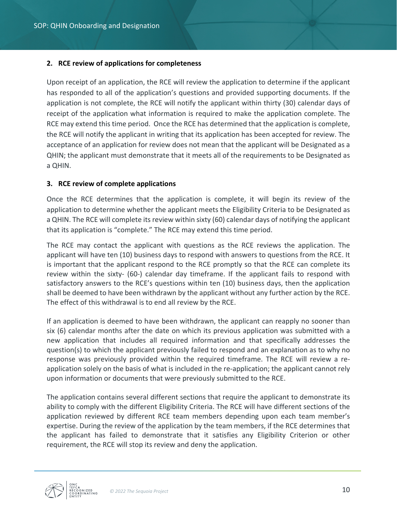#### **2. RCE review of applications for completeness**

Upon receipt of an application, the RCE will review the application to determine if the applicant has responded to all of the application's questions and provided supporting documents. If the application is not complete, the RCE will notify the applicant within thirty (30) calendar days of receipt of the application what information is required to make the application complete. The RCE may extend this time period. Once the RCE has determined that the application is complete, the RCE will notify the applicant in writing that its application has been accepted for review. The acceptance of an application for review does not mean that the applicant will be Designated as a QHIN; the applicant must demonstrate that it meets all of the requirements to be Designated as a QHIN.

#### **3. RCE review of complete applications**

Once the RCE determines that the application is complete, it will begin its review of the application to determine whether the applicant meets the Eligibility Criteria to be Designated as a QHIN. The RCE will complete its review within sixty (60) calendar days of notifying the applicant that its application is "complete." The RCE may extend this time period.

The RCE may contact the applicant with questions as the RCE reviews the application. The applicant will have ten (10) business days to respond with answers to questions from the RCE. It is important that the applicant respond to the RCE promptly so that the RCE can complete its review within the sixty- (60-) calendar day timeframe. If the applicant fails to respond with satisfactory answers to the RCE's questions within ten (10) business days, then the application shall be deemed to have been withdrawn by the applicant without any further action by the RCE. The effect of this withdrawal is to end all review by the RCE.

If an application is deemed to have been withdrawn, the applicant can reapply no sooner than six (6) calendar months after the date on which its previous application was submitted with a new application that includes all required information and that specifically addresses the question(s) to which the applicant previously failed to respond and an explanation as to why no response was previously provided within the required timeframe. The RCE will review a reapplication solely on the basis of what is included in the re-application; the applicant cannot rely upon information or documents that were previously submitted to the RCE.

The application contains several different sections that require the applicant to demonstrate its ability to comply with the different Eligibility Criteria. The RCE will have different sections of the application reviewed by different RCE team members depending upon each team member's expertise. During the review of the application by the team members, if the RCE determines that the applicant has failed to demonstrate that it satisfies any Eligibility Criterion or other requirement, the RCE will stop its review and deny the application.

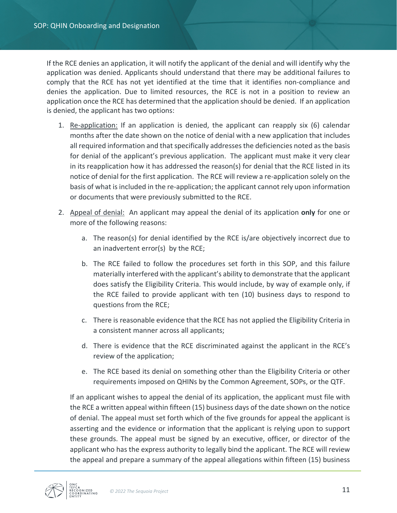If the RCE denies an application, it will notify the applicant of the denial and will identify why the application was denied. Applicants should understand that there may be additional failures to comply that the RCE has not yet identified at the time that it identifies non-compliance and denies the application. Due to limited resources, the RCE is not in a position to review an application once the RCE has determined that the application should be denied. If an application is denied, the applicant has two options:

- 1. Re-application: If an application is denied, the applicant can reapply six (6) calendar months after the date shown on the notice of denial with a new application that includes all required information and that specifically addresses the deficiencies noted as the basis for denial of the applicant's previous application. The applicant must make it very clear in its reapplication how it has addressed the reason(s) for denial that the RCE listed in its notice of denial for the first application. The RCE will review a re-application solely on the basis of what is included in the re-application; the applicant cannot rely upon information or documents that were previously submitted to the RCE.
- 2. Appeal of denial: An applicant may appeal the denial of its application **only** for one or more of the following reasons:
	- a. The reason(s) for denial identified by the RCE is/are objectively incorrect due to an inadvertent error(s) by the RCE;
	- b. The RCE failed to follow the procedures set forth in this SOP, and this failure materially interfered with the applicant's ability to demonstrate that the applicant does satisfy the Eligibility Criteria. This would include, by way of example only, if the RCE failed to provide applicant with ten (10) business days to respond to questions from the RCE;
	- c. There is reasonable evidence that the RCE has not applied the Eligibility Criteria in a consistent manner across all applicants;
	- d. There is evidence that the RCE discriminated against the applicant in the RCE's review of the application;
	- e. The RCE based its denial on something other than the Eligibility Criteria or other requirements imposed on QHINs by the Common Agreement, SOPs, or the QTF.

If an applicant wishes to appeal the denial of its application, the applicant must file with the RCE a written appeal within fifteen (15) business days of the date shown on the notice of denial. The appeal must set forth which of the five grounds for appeal the applicant is asserting and the evidence or information that the applicant is relying upon to support these grounds. The appeal must be signed by an executive, officer, or director of the applicant who has the express authority to legally bind the applicant. The RCE will review the appeal and prepare a summary of the appeal allegations within fifteen (15) business

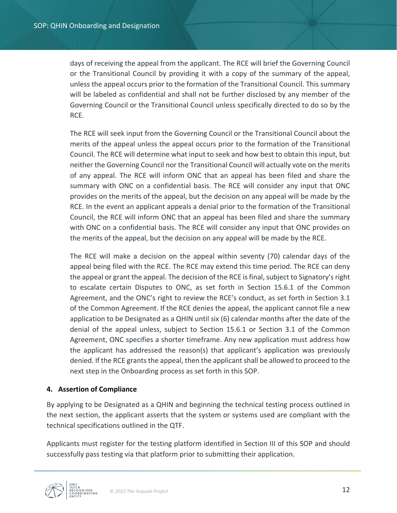days of receiving the appeal from the applicant. The RCE will brief the Governing Council or the Transitional Council by providing it with a copy of the summary of the appeal, unless the appeal occurs prior to the formation of the Transitional Council. This summary will be labeled as confidential and shall not be further disclosed by any member of the Governing Council or the Transitional Council unless specifically directed to do so by the RCE.

The RCE will seek input from the Governing Council or the Transitional Council about the merits of the appeal unless the appeal occurs prior to the formation of the Transitional Council. The RCE will determine what input to seek and how best to obtain this input, but neither the Governing Council nor the Transitional Council will actually vote on the merits of any appeal. The RCE will inform ONC that an appeal has been filed and share the summary with ONC on a confidential basis. The RCE will consider any input that ONC provides on the merits of the appeal, but the decision on any appeal will be made by the RCE. In the event an applicant appeals a denial prior to the formation of the Transitional Council, the RCE will inform ONC that an appeal has been filed and share the summary with ONC on a confidential basis. The RCE will consider any input that ONC provides on the merits of the appeal, but the decision on any appeal will be made by the RCE.

The RCE will make a decision on the appeal within seventy (70) calendar days of the appeal being filed with the RCE. The RCE may extend this time period. The RCE can deny the appeal or grant the appeal. The decision of the RCE is final, subject to Signatory's right to escalate certain Disputes to ONC, as set forth in Section 15.6.1 of the Common Agreement, and the ONC's right to review the RCE's conduct, as set forth in Section 3.1 of the Common Agreement. If the RCE denies the appeal, the applicant cannot file a new application to be Designated as a QHIN until six (6) calendar months after the date of the denial of the appeal unless, subject to Section 15.6.1 or Section 3.1 of the Common Agreement, ONC specifies a shorter timeframe. Any new application must address how the applicant has addressed the reason(s) that applicant's application was previously denied. If the RCE grants the appeal, then the applicant shall be allowed to proceed to the next step in the Onboarding process as set forth in this SOP.

## **4. Assertion of Compliance**

By applying to be Designated as a QHIN and beginning the technical testing process outlined in the next section, the applicant asserts that the system or systems used are compliant with the technical specifications outlined in the QTF.

Applicants must register for the testing platform identified in Section III of this SOP and should successfully pass testing via that platform prior to submitting their application.

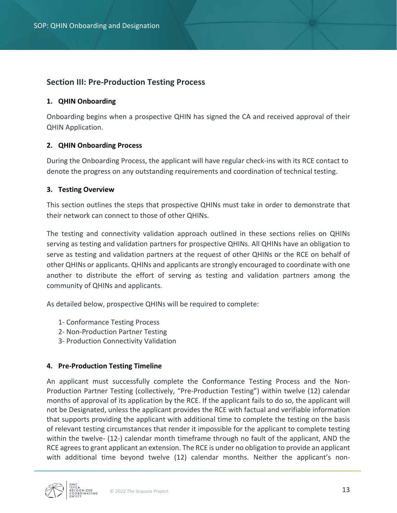# **Section III: Pre-Production Testing Process**

#### **1. QHIN Onboarding**

Onboarding begins when a prospective QHIN has signed the CA and received approval of their QHIN Application.

#### **2. QHIN Onboarding Process**

During the Onboarding Process, the applicant will have regular check-ins with its RCE contact to denote the progress on any outstanding requirements and coordination of technical testing.

#### **3. Testing Overview**

This section outlines the steps that prospective QHINs must take in order to demonstrate that their network can connect to those of other QHINs.

The testing and connectivity validation approach outlined in these sections relies on QHINs serving as testing and validation partners for prospective QHINs. All QHINs have an obligation to serve as testing and validation partners at the request of other QHINs or the RCE on behalf of other QHINs or applicants. QHINs and applicants are strongly encouraged to coordinate with one another to distribute the effort of serving as testing and validation partners among the community of QHINs and applicants.

As detailed below, prospective QHINs will be required to complete:

- 1- Conformance Testing Process
- 2- Non-Production Partner Testing
- 3- Production Connectivity Validation

#### **4. Pre-Production Testing Timeline**

An applicant must successfully complete the Conformance Testing Process and the Non-Production Partner Testing (collectively, "Pre-Production Testing") within twelve (12) calendar months of approval of its application by the RCE. If the applicant fails to do so, the applicant will not be Designated, unless the applicant provides the RCE with factual and verifiable information that supports providing the applicant with additional time to complete the testing on the basis of relevant testing circumstances that render it impossible for the applicant to complete testing within the twelve- (12-) calendar month timeframe through no fault of the applicant, AND the RCE agrees to grant applicant an extension. The RCE is under no obligation to provide an applicant with additional time beyond twelve (12) calendar months. Neither the applicant's non-

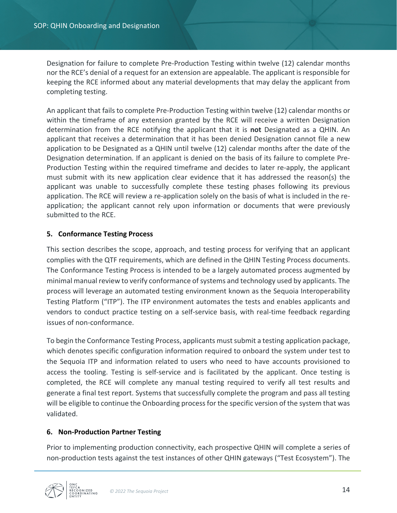Designation for failure to complete Pre-Production Testing within twelve (12) calendar months nor the RCE's denial of a request for an extension are appealable. The applicant is responsible for keeping the RCE informed about any material developments that may delay the applicant from completing testing.

An applicant that fails to complete Pre-Production Testing within twelve (12) calendar months or within the timeframe of any extension granted by the RCE will receive a written Designation determination from the RCE notifying the applicant that it is **not** Designated as a QHIN. An applicant that receives a determination that it has been denied Designation cannot file a new application to be Designated as a QHIN until twelve (12) calendar months after the date of the Designation determination. If an applicant is denied on the basis of its failure to complete Pre-Production Testing within the required timeframe and decides to later re-apply, the applicant must submit with its new application clear evidence that it has addressed the reason(s) the applicant was unable to successfully complete these testing phases following its previous application. The RCE will review a re-application solely on the basis of what is included in the reapplication; the applicant cannot rely upon information or documents that were previously submitted to the RCE.

## **5. Conformance Testing Process**

This section describes the scope, approach, and testing process for verifying that an applicant complies with the QTF requirements, which are defined in the QHIN Testing Process documents. The Conformance Testing Process is intended to be a largely automated process augmented by minimal manual review to verify conformance of systems and technology used by applicants. The process will leverage an automated testing environment known as the Sequoia Interoperability Testing Platform ("ITP"). The ITP environment automates the tests and enables applicants and vendors to conduct practice testing on a self-service basis, with real-time feedback regarding issues of non-conformance.

To begin the Conformance Testing Process, applicants must submit a testing application package, which denotes specific configuration information required to onboard the system under test to the Sequoia ITP and information related to users who need to have accounts provisioned to access the tooling. Testing is self-service and is facilitated by the applicant. Once testing is completed, the RCE will complete any manual testing required to verify all test results and generate a final test report. Systems that successfully complete the program and pass all testing will be eligible to continue the Onboarding process for the specific version of the system that was validated.

## **6. Non-Production Partner Testing**

Prior to implementing production connectivity, each prospective QHIN will complete a series of non-production tests against the test instances of other QHIN gateways ("Test Ecosystem"). The

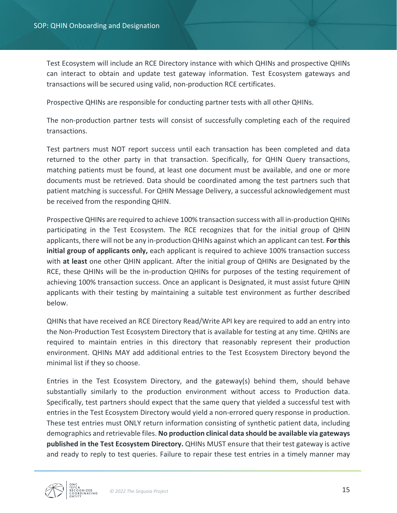Test Ecosystem will include an RCE Directory instance with which QHINs and prospective QHINs can interact to obtain and update test gateway information. Test Ecosystem gateways and transactions will be secured using valid, non-production RCE certificates.

Prospective QHINs are responsible for conducting partner tests with all other QHINs.

The non-production partner tests will consist of successfully completing each of the required transactions.

Test partners must NOT report success until each transaction has been completed and data returned to the other party in that transaction. Specifically, for QHIN Query transactions, matching patients must be found, at least one document must be available, and one or more documents must be retrieved. Data should be coordinated among the test partners such that patient matching is successful. For QHIN Message Delivery, a successful acknowledgement must be received from the responding QHIN.

Prospective QHINs are required to achieve 100% transaction success with all in-production QHINs participating in the Test Ecosystem. The RCE recognizes that for the initial group of QHIN applicants, there will not be any in-production QHINs against which an applicant can test. **For this initial group of applicants only,** each applicant is required to achieve 100% transaction success with **at least** one other QHIN applicant. After the initial group of QHINs are Designated by the RCE, these QHINs will be the in-production QHINs for purposes of the testing requirement of achieving 100% transaction success. Once an applicant is Designated, it must assist future QHIN applicants with their testing by maintaining a suitable test environment as further described below.

QHINs that have received an RCE Directory Read/Write API key are required to add an entry into the Non-Production Test Ecosystem Directory that is available for testing at any time. QHINs are required to maintain entries in this directory that reasonably represent their production environment. QHINs MAY add additional entries to the Test Ecosystem Directory beyond the minimal list if they so choose.

Entries in the Test Ecosystem Directory, and the gateway(s) behind them, should behave substantially similarly to the production environment without access to Production data. Specifically, test partners should expect that the same query that yielded a successful test with entries in the Test Ecosystem Directory would yield a non-errored query response in production. These test entries must ONLY return information consisting of synthetic patient data, including demographics and retrievable files. **No production clinical data should be available via gateways published in the Test Ecosystem Directory.** QHINs MUST ensure that their test gateway is active and ready to reply to test queries. Failure to repair these test entries in a timely manner may

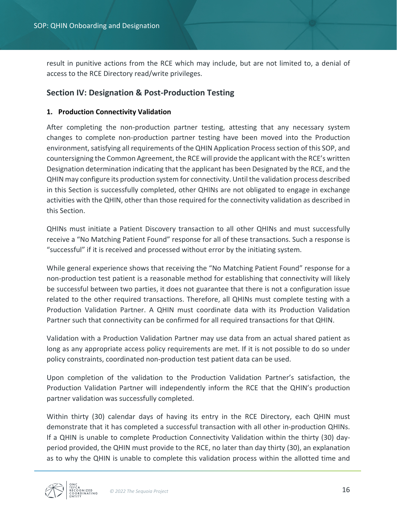result in punitive actions from the RCE which may include, but are not limited to, a denial of access to the RCE Directory read/write privileges.

# **Section IV: Designation & Post-Production Testing**

### **1. Production Connectivity Validation**

After completing the non-production partner testing, attesting that any necessary system changes to complete non-production partner testing have been moved into the Production environment, satisfying all requirements of the QHIN Application Processsection of this SOP, and countersigning the Common Agreement, the RCE will provide the applicant with the RCE's written Designation determination indicating that the applicant has been Designated by the RCE, and the QHIN may configure its production system for connectivity. Until the validation process described in this Section is successfully completed, other QHINs are not obligated to engage in exchange activities with the QHIN, other than those required for the connectivity validation as described in this Section.

QHINs must initiate a Patient Discovery transaction to all other QHINs and must successfully receive a "No Matching Patient Found" response for all of these transactions. Such a response is "successful" if it is received and processed without error by the initiating system.

While general experience shows that receiving the "No Matching Patient Found" response for a non-production test patient is a reasonable method for establishing that connectivity will likely be successful between two parties, it does not guarantee that there is not a configuration issue related to the other required transactions. Therefore, all QHINs must complete testing with a Production Validation Partner. A QHIN must coordinate data with its Production Validation Partner such that connectivity can be confirmed for all required transactions for that QHIN.

Validation with a Production Validation Partner may use data from an actual shared patient as long as any appropriate access policy requirements are met. If it is not possible to do so under policy constraints, coordinated non-production test patient data can be used.

Upon completion of the validation to the Production Validation Partner's satisfaction, the Production Validation Partner will independently inform the RCE that the QHIN's production partner validation was successfully completed.

Within thirty (30) calendar days of having its entry in the RCE Directory, each QHIN must demonstrate that it has completed a successful transaction with all other in-production QHINs. If a QHIN is unable to complete Production Connectivity Validation within the thirty (30) dayperiod provided, the QHIN must provide to the RCE, no later than day thirty (30), an explanation as to why the QHIN is unable to complete this validation process within the allotted time and